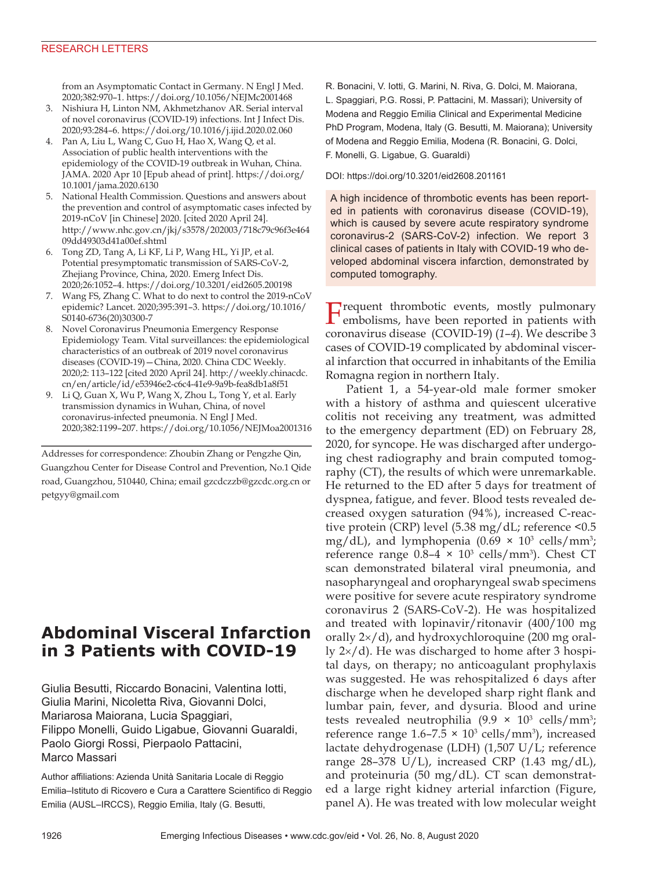### RESEARCH LETTERS

from an Asymptomatic Contact in Germany. N Engl J Med. 2020;382:970–1. https://doi.org/10.1056/NEJMc2001468

- 3. Nishiura H, Linton NM, Akhmetzhanov AR. Serial interval of novel coronavirus (COVID-19) infections. Int J Infect Dis. 2020;93:284–6. https://doi.org/10.1016/j.ijid.2020.02.060
- 4. Pan A, Liu L, Wang C, Guo H, Hao X, Wang Q, et al. Association of public health interventions with the epidemiology of the COVID-19 outbreak in Wuhan, China. JAMA. 2020 Apr 10 [Epub ahead of print]. https://doi.org/ 10.1001/jama.2020.6130
- 5. National Health Commission. Questions and answers about the prevention and control of asymptomatic cases infected by 2019-nCoV [in Chinese] 2020. [cited 2020 April 24]. http://www.nhc.gov.cn/jkj/s3578/202003/718c79c96f3e464 09dd49303d41a00ef.shtml
- 6. Tong ZD, Tang A, Li KF, Li P, Wang HL, Yi JP, et al. Potential presymptomatic transmission of SARS-CoV-2, Zhejiang Province, China, 2020. Emerg Infect Dis. 2020;26:1052–4. https://doi.org/10.3201/eid2605.200198
- 7. Wang FS, Zhang C. What to do next to control the 2019-nCoV epidemic? Lancet. 2020;395:391–3. https://doi.org/10.1016/ S0140-6736(20)30300-7
- 8. Novel Coronavirus Pneumonia Emergency Response Epidemiology Team. Vital surveillances: the epidemiological characteristics of an outbreak of 2019 novel coronavirus diseases (COVID-19)—China, 2020. China CDC Weekly. 2020;2: 113–122 [cited 2020 April 24]. http://weekly.chinacdc. cn/en/article/id/e53946e2-c6c4-41e9-9a9b-fea8db1a8f51
- 9. Li Q, Guan X, Wu P, Wang X, Zhou L, Tong Y, et al. Early transmission dynamics in Wuhan, China, of novel coronavirus-infected pneumonia. N Engl J Med. 2020;382:1199–207. https://doi.org/10.1056/NEJMoa2001316

Addresses for correspondence: Zhoubin Zhang or Pengzhe Qin, Guangzhou Center for Disease Control and Prevention, No.1 Qide road, Guangzhou, 510440, China; email gzcdczzb@gzcdc.org.cn or petgyy@gmail.com

# **Abdominal Visceral Infarction in 3 Patients with COVID-19**

Giulia Besutti, Riccardo Bonacini, Valentina Iotti, Giulia Marini, Nicoletta Riva, Giovanni Dolci, Mariarosa Maiorana, Lucia Spaggiari, Filippo Monelli, Guido Ligabue, Giovanni Guaraldi, Paolo Giorgi Rossi, Pierpaolo Pattacini, Marco Massari

Author affiliations: Azienda Unità Sanitaria Locale di Reggio Emilia–Istituto di Ricovero e Cura a Carattere Scientifico di Reggio Emilia (AUSL–IRCCS), Reggio Emilia, Italy (G. Besutti,

R. Bonacini, V. Iotti, G. Marini, N. Riva, G. Dolci, M. Maiorana, L. Spaggiari, P.G. Rossi, P. Pattacini, M. Massari); University of Modena and Reggio Emilia Clinical and Experimental Medicine PhD Program, Modena, Italy (G. Besutti, M. Maiorana); University of Modena and Reggio Emilia, Modena (R. Bonacini, G. Dolci, F. Monelli, G. Ligabue, G. Guaraldi)

DOI: https://doi.org/10.3201/eid2608.201161

A high incidence of thrombotic events has been reported in patients with coronavirus disease (COVID-19), which is caused by severe acute respiratory syndrome coronavirus-2 (SARS-CoV-2) infection. We report 3 clinical cases of patients in Italy with COVID-19 who developed abdominal viscera infarction, demonstrated by computed tomography.

**F**requent thrombotic events, mostly pulmonary embolisms, have been reported in patients with coronavirus disease (COVID-19) (*1*–*4*). We describe 3 cases of COVID-19 complicated by abdominal visceral infarction that occurred in inhabitants of the Emilia Romagna region in northern Italy.

Patient 1, a 54-year-old male former smoker with a history of asthma and quiescent ulcerative colitis not receiving any treatment, was admitted to the emergency department (ED) on February 28, 2020, for syncope. He was discharged after undergoing chest radiography and brain computed tomography (CT), the results of which were unremarkable. He returned to the ED after 5 days for treatment of dyspnea, fatigue, and fever. Blood tests revealed decreased oxygen saturation (94%), increased C-reactive protein (CRP) level (5.38 mg/dL; reference <0.5 mg/dL), and lymphopenia  $(0.69 \times 10^3 \text{ cells/mm}^3)$ ; reference range  $0.8-4 \times 10^3$  cells/mm<sup>3</sup>). Chest CT scan demonstrated bilateral viral pneumonia, and nasopharyngeal and oropharyngeal swab specimens were positive for severe acute respiratory syndrome coronavirus 2 (SARS-CoV-2). He was hospitalized and treated with lopinavir/ritonavir (400/100 mg orally 2×/d), and hydroxychloroquine (200 mg orally 2×/d). He was discharged to home after 3 hospital days, on therapy; no anticoagulant prophylaxis was suggested. He was rehospitalized 6 days after discharge when he developed sharp right flank and lumbar pain, fever, and dysuria. Blood and urine tests revealed neutrophilia  $(9.9 \times 10^3 \text{ cells/mm}^3)$ ; reference range  $1.6 - 7.5 \times 10^3$  cells/mm<sup>3</sup>), increased lactate dehydrogenase (LDH) (1,507 U/L; reference range  $28-378$  U/L), increased CRP (1.43 mg/dL), and proteinuria (50 mg/dL). CT scan demonstrated a large right kidney arterial infarction (Figure, panel A). He was treated with low molecular weight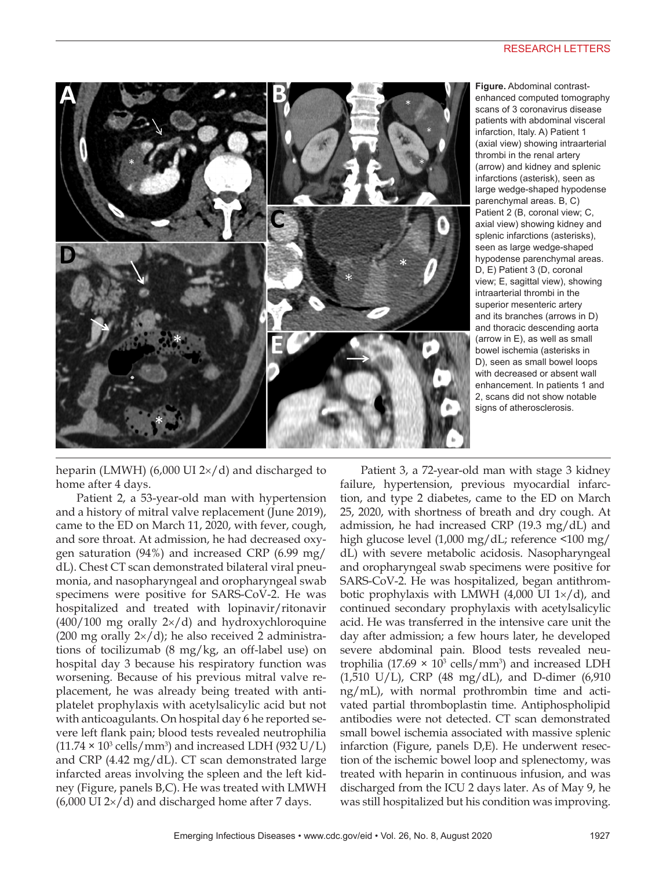#### RESEARCH LETTERS



**Figure.** Abdominal contrastenhanced computed tomography scans of 3 coronavirus disease patients with abdominal visceral infarction, Italy. A) Patient 1 (axial view) showing intraarterial thrombi in the renal artery (arrow) and kidney and splenic infarctions (asterisk), seen as large wedge-shaped hypodense parenchymal areas. B, C) Patient 2 (B, coronal view; C, axial view) showing kidney and splenic infarctions (asterisks), seen as large wedge-shaped hypodense parenchymal areas. D, E) Patient 3 (D, coronal view; E, sagittal view), showing intraarterial thrombi in the superior mesenteric artery and its branches (arrows in D) and thoracic descending aorta (arrow in E), as well as small bowel ischemia (asterisks in D), seen as small bowel loops with decreased or absent wall enhancement. In patients 1 and 2, scans did not show notable signs of atherosclerosis.

heparin (LMWH) (6,000 UI  $2\times$ /d) and discharged to home after 4 days.

Patient 2, a 53-year-old man with hypertension and a history of mitral valve replacement (June 2019), came to the ED on March 11, 2020, with fever, cough, and sore throat. At admission, he had decreased oxygen saturation (94%) and increased CRP (6.99 mg/ dL). Chest CT scan demonstrated bilateral viral pneumonia, and nasopharyngeal and oropharyngeal swab specimens were positive for SARS-CoV-2. He was hospitalized and treated with lopinavir/ritonavir  $(400/100 \text{ mg}$  orally  $2\times/d$  and hydroxychloroquine (200 mg orally  $2\times$ /d); he also received 2 administrations of tocilizumab (8 mg/kg, an off-label use) on hospital day 3 because his respiratory function was worsening. Because of his previous mitral valve replacement, he was already being treated with antiplatelet prophylaxis with acetylsalicylic acid but not with anticoagulants. On hospital day 6 he reported severe left flank pain; blood tests revealed neutrophilia  $(11.74 \times 10^3 \text{ cells/mm}^3)$  and increased LDH  $(932 \text{ U/L})$ and CRP (4.42 mg/dL). CT scan demonstrated large infarcted areas involving the spleen and the left kidney (Figure, panels B,C). He was treated with LMWH  $(6,000 \text{ UI } 2\times$ /d) and discharged home after 7 days.

Patient 3, a 72-year-old man with stage 3 kidney failure, hypertension, previous myocardial infarction, and type 2 diabetes, came to the ED on March 25, 2020, with shortness of breath and dry cough. At admission, he had increased CRP (19.3 mg/dL) and high glucose level (1,000 mg/dL; reference <100 mg/ dL) with severe metabolic acidosis. Nasopharyngeal and oropharyngeal swab specimens were positive for SARS-CoV-2. He was hospitalized, began antithrombotic prophylaxis with LMWH  $(4,000 \text{ UI } 1\times/d)$ , and continued secondary prophylaxis with acetylsalicylic acid. He was transferred in the intensive care unit the day after admission; a few hours later, he developed severe abdominal pain. Blood tests revealed neutrophilia (17.69  $\times$  10<sup>3</sup> cells/mm<sup>3</sup>) and increased LDH  $(1,510 \text{ U/L})$ , CRP  $(48 \text{ mg/dL})$ , and D-dimer  $(6,910 \text{ m})$ ng/mL), with normal prothrombin time and activated partial thromboplastin time. Antiphospholipid antibodies were not detected. CT scan demonstrated small bowel ischemia associated with massive splenic infarction (Figure, panels D,E). He underwent resection of the ischemic bowel loop and splenectomy, was treated with heparin in continuous infusion, and was discharged from the ICU 2 days later. As of May 9, he was still hospitalized but his condition was improving.